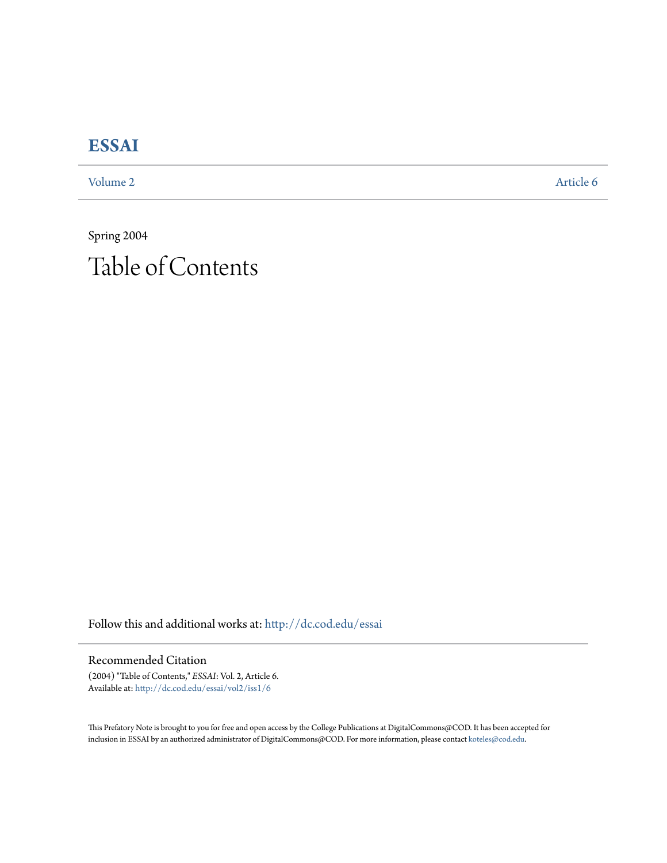## **[ESSAI](http://dc.cod.edu/essai?utm_source=dc.cod.edu%2Fessai%2Fvol2%2Fiss1%2F6&utm_medium=PDF&utm_campaign=PDFCoverPages)**

[Volume 2](http://dc.cod.edu/essai/vol2?utm_source=dc.cod.edu%2Fessai%2Fvol2%2Fiss1%2F6&utm_medium=PDF&utm_campaign=PDFCoverPages) [Article 6](http://dc.cod.edu/essai/vol2/iss1/6?utm_source=dc.cod.edu%2Fessai%2Fvol2%2Fiss1%2F6&utm_medium=PDF&utm_campaign=PDFCoverPages)

Spring 2004 Table of Contents

Follow this and additional works at: [http://dc.cod.edu/essai](http://dc.cod.edu/essai?utm_source=dc.cod.edu%2Fessai%2Fvol2%2Fiss1%2F6&utm_medium=PDF&utm_campaign=PDFCoverPages)

Recommended Citation

(2004) "Table of Contents," *ESSAI*: Vol. 2, Article 6. Available at: [http://dc.cod.edu/essai/vol2/iss1/6](http://dc.cod.edu/essai/vol2/iss1/6?utm_source=dc.cod.edu%2Fessai%2Fvol2%2Fiss1%2F6&utm_medium=PDF&utm_campaign=PDFCoverPages)

This Prefatory Note is brought to you for free and open access by the College Publications at DigitalCommons@COD. It has been accepted for inclusion in ESSAI by an authorized administrator of DigitalCommons@COD. For more information, please contact [koteles@cod.edu.](mailto:koteles@cod.edu)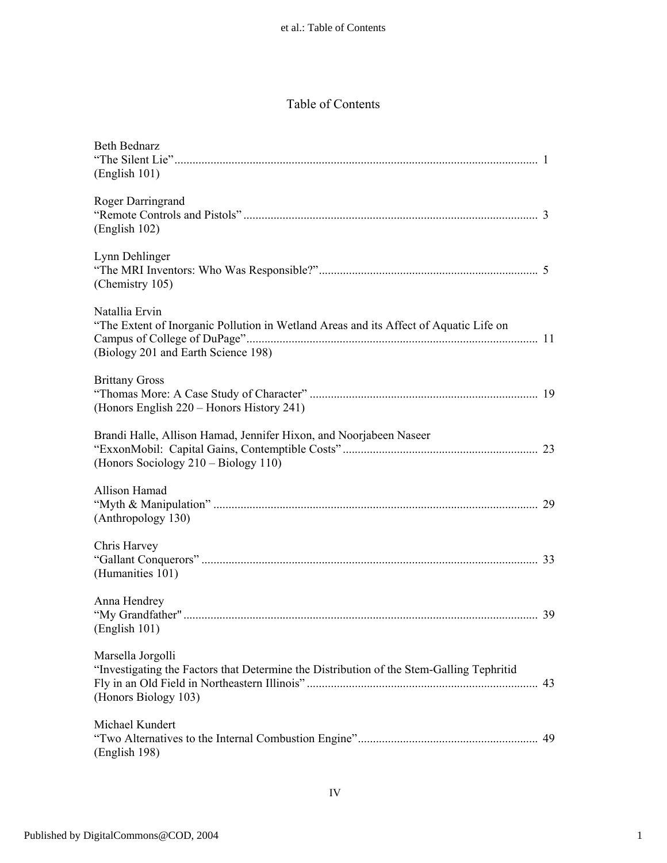## Table of Contents

| <b>Beth Bednarz</b><br>(English 101)                                                                                                           |    |
|------------------------------------------------------------------------------------------------------------------------------------------------|----|
| Roger Darringrand<br>(English 102)                                                                                                             |    |
| Lynn Dehlinger<br>(Chemistry 105)                                                                                                              |    |
| Natallia Ervin<br>"The Extent of Inorganic Pollution in Wetland Areas and its Affect of Aquatic Life on<br>(Biology 201 and Earth Science 198) |    |
| <b>Brittany Gross</b><br>(Honors English 220 – Honors History 241)                                                                             |    |
| Brandi Halle, Allison Hamad, Jennifer Hixon, and Noorjabeen Naseer<br>(Honors Sociology 210 – Biology 110)                                     |    |
| Allison Hamad<br>(Anthropology 130)                                                                                                            |    |
| Chris Harvey<br>(Humanities 101)                                                                                                               |    |
| Anna Hendrey<br>(English 101)                                                                                                                  |    |
| Marsella Jorgolli<br>"Investigating the Factors that Determine the Distribution of the Stem-Galling Tephritid<br>(Honors Biology 103)          | 43 |
| Michael Kundert<br>(English 198)                                                                                                               |    |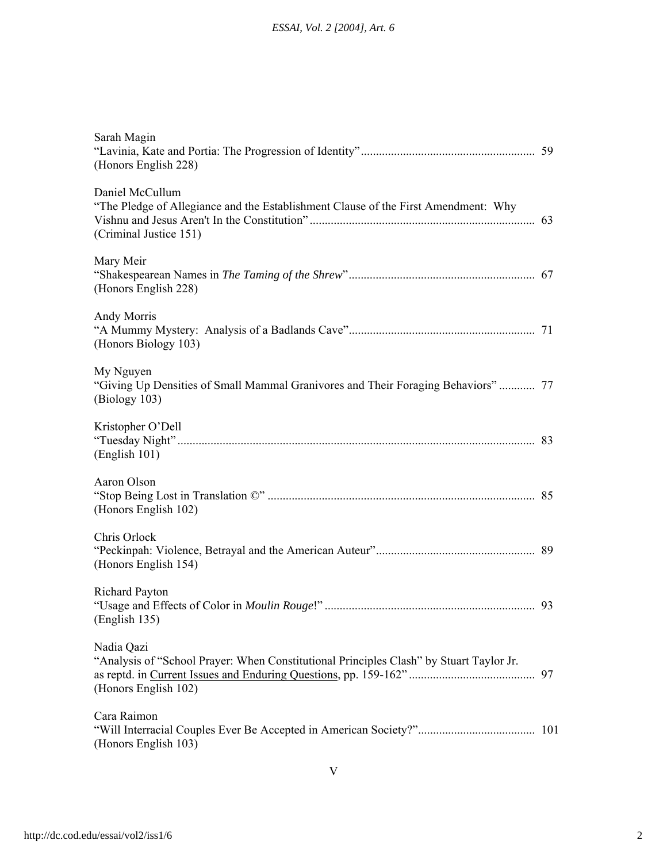| Sarah Magin<br>(Honors English 228)                                                                                             |     |
|---------------------------------------------------------------------------------------------------------------------------------|-----|
| Daniel McCullum<br>"The Pledge of Allegiance and the Establishment Clause of the First Amendment: Why<br>(Criminal Justice 151) |     |
| Mary Meir<br>(Honors English 228)                                                                                               |     |
| Andy Morris<br>(Honors Biology 103)                                                                                             |     |
| My Nguyen<br>"Giving Up Densities of Small Mammal Granivores and Their Foraging Behaviors" 77<br>(Biology 103)                  |     |
| Kristopher O'Dell<br>(English 101)                                                                                              |     |
| Aaron Olson<br>(Honors English 102)                                                                                             |     |
| Chris Orlock<br>(Honors English 154)                                                                                            |     |
| Richard Payton<br>(English 135)                                                                                                 |     |
| Nadia Qazi<br>"Analysis of "School Prayer: When Constitutional Principles Clash" by Stuart Taylor Jr.<br>(Honors English 102)   |     |
| Cara Raimon<br>(Honors English 103)                                                                                             | 101 |